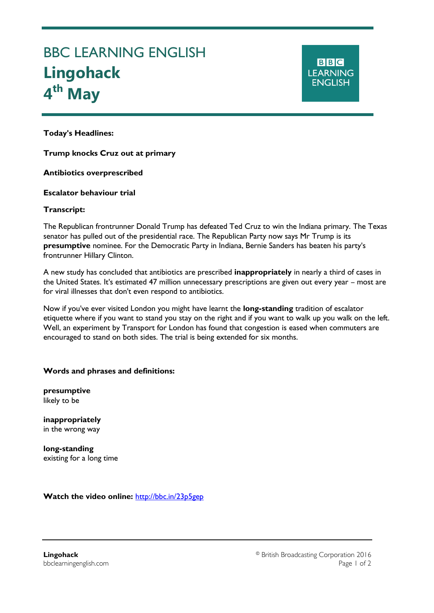# BBC LEARNING ENGLISH **Lingohack 4 th May**

**BBC LEARNING ENGLISH** 

**Today's Headlines:**

Ξ

**Trump knocks Cruz out at primary**

**Antibiotics overprescribed**

## **Escalator behaviour trial**

## **Transcript:**

The Republican frontrunner Donald Trump has defeated Ted Cruz to win the Indiana primary. The Texas senator has pulled out of the presidential race. The Republican Party now says Mr Trump is its **presumptive** nominee. For the Democratic Party in Indiana, Bernie Sanders has beaten his party's frontrunner Hillary Clinton.

A new study has concluded that antibiotics are prescribed **inappropriately** in nearly a third of cases in the United States. It's estimated 47 million unnecessary prescriptions are given out every year – most are for viral illnesses that don't even respond to antibiotics.

Now if you've ever visited London you might have learnt the **long-standing** tradition of escalator etiquette where if you want to stand you stay on the right and if you want to walk up you walk on the left. Well, an experiment by Transport for London has found that congestion is eased when commuters are encouraged to stand on both sides. The trial is being extended for six months.

#### **Words and phrases and definitions:**

**presumptive** likely to be

**inappropriately** in the wrong way

**long-standing** existing for a long time

**Watch the video online:** <http://bbc.in/23p5gep>